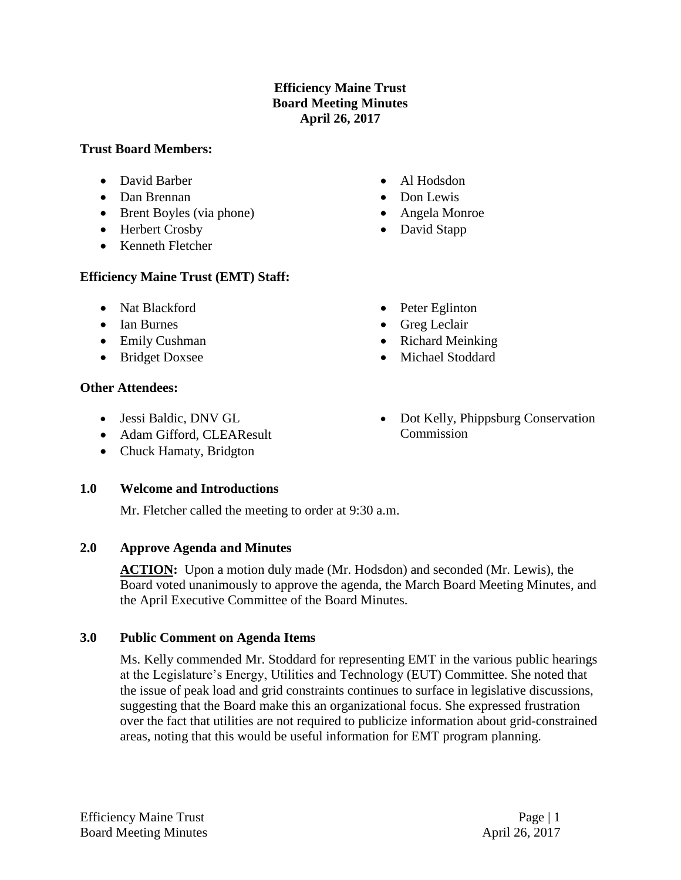## **Efficiency Maine Trust Board Meeting Minutes April 26, 2017**

### **Trust Board Members:**

- David Barber
- Dan Brennan
- Brent Boyles (via phone)
- Herbert Crosby
- Kenneth Fletcher

## **Efficiency Maine Trust (EMT) Staff:**

- Nat Blackford
- Ian Burnes
- Emily Cushman
- Bridget Doxsee

## **Other Attendees:**

- Jessi Baldic, DNV GL
- Adam Gifford, CLEAResult
- Chuck Hamaty, Bridgton

# **1.0 Welcome and Introductions**

Mr. Fletcher called the meeting to order at 9:30 a.m.

# **2.0 Approve Agenda and Minutes**

**ACTION:** Upon a motion duly made (Mr. Hodsdon) and seconded (Mr. Lewis), the Board voted unanimously to approve the agenda, the March Board Meeting Minutes, and the April Executive Committee of the Board Minutes.

# **3.0 Public Comment on Agenda Items**

Ms. Kelly commended Mr. Stoddard for representing EMT in the various public hearings at the Legislature's Energy, Utilities and Technology (EUT) Committee. She noted that the issue of peak load and grid constraints continues to surface in legislative discussions, suggesting that the Board make this an organizational focus. She expressed frustration over the fact that utilities are not required to publicize information about grid-constrained areas, noting that this would be useful information for EMT program planning.

• Dot Kelly, Phippsburg Conservation Commission

- Al Hodsdon
- Don Lewis
- Angela Monroe
- David Stapp

• Peter Eglinton • Greg Leclair • Richard Meinking • Michael Stoddard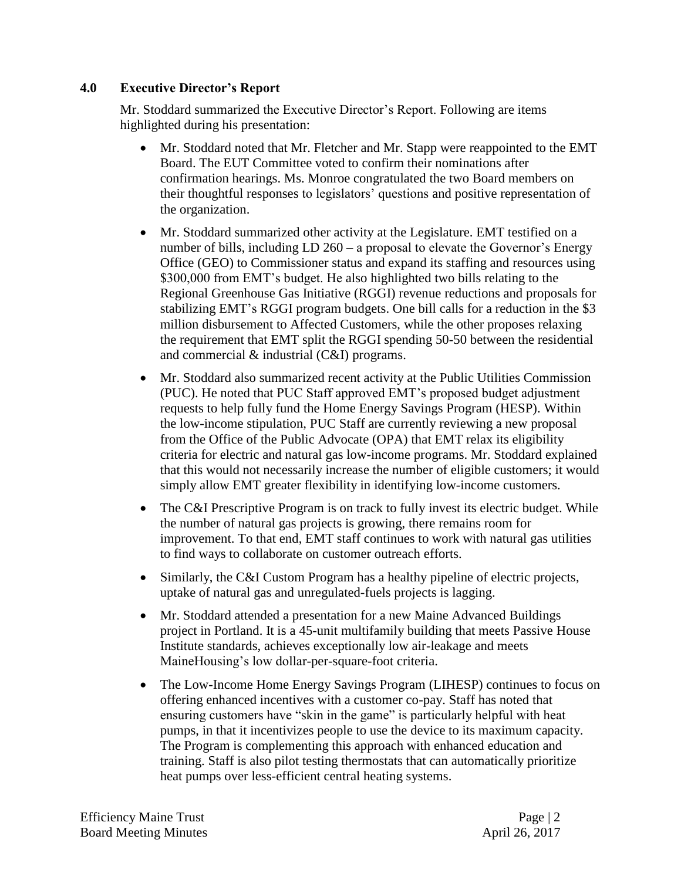### **4.0 Executive Director's Report**

Mr. Stoddard summarized the Executive Director's Report. Following are items highlighted during his presentation:

- Mr. Stoddard noted that Mr. Fletcher and Mr. Stapp were reappointed to the EMT Board. The EUT Committee voted to confirm their nominations after confirmation hearings. Ms. Monroe congratulated the two Board members on their thoughtful responses to legislators' questions and positive representation of the organization.
- Mr. Stoddard summarized other activity at the Legislature. EMT testified on a number of bills, including LD 260 – a proposal to elevate the Governor's Energy Office (GEO) to Commissioner status and expand its staffing and resources using \$300,000 from EMT's budget. He also highlighted two bills relating to the Regional Greenhouse Gas Initiative (RGGI) revenue reductions and proposals for stabilizing EMT's RGGI program budgets. One bill calls for a reduction in the \$3 million disbursement to Affected Customers, while the other proposes relaxing the requirement that EMT split the RGGI spending 50-50 between the residential and commercial & industrial (C&I) programs.
- Mr. Stoddard also summarized recent activity at the Public Utilities Commission (PUC). He noted that PUC Staff approved EMT's proposed budget adjustment requests to help fully fund the Home Energy Savings Program (HESP). Within the low-income stipulation, PUC Staff are currently reviewing a new proposal from the Office of the Public Advocate (OPA) that EMT relax its eligibility criteria for electric and natural gas low-income programs. Mr. Stoddard explained that this would not necessarily increase the number of eligible customers; it would simply allow EMT greater flexibility in identifying low-income customers.
- The C&I Prescriptive Program is on track to fully invest its electric budget. While the number of natural gas projects is growing, there remains room for improvement. To that end, EMT staff continues to work with natural gas utilities to find ways to collaborate on customer outreach efforts.
- Similarly, the C&I Custom Program has a healthy pipeline of electric projects, uptake of natural gas and unregulated-fuels projects is lagging.
- Mr. Stoddard attended a presentation for a new Maine Advanced Buildings project in Portland. It is a 45-unit multifamily building that meets Passive House Institute standards, achieves exceptionally low air-leakage and meets MaineHousing's low dollar-per-square-foot criteria.
- The Low-Income Home Energy Savings Program (LIHESP) continues to focus on offering enhanced incentives with a customer co-pay. Staff has noted that ensuring customers have "skin in the game" is particularly helpful with heat pumps, in that it incentivizes people to use the device to its maximum capacity. The Program is complementing this approach with enhanced education and training. Staff is also pilot testing thermostats that can automatically prioritize heat pumps over less-efficient central heating systems.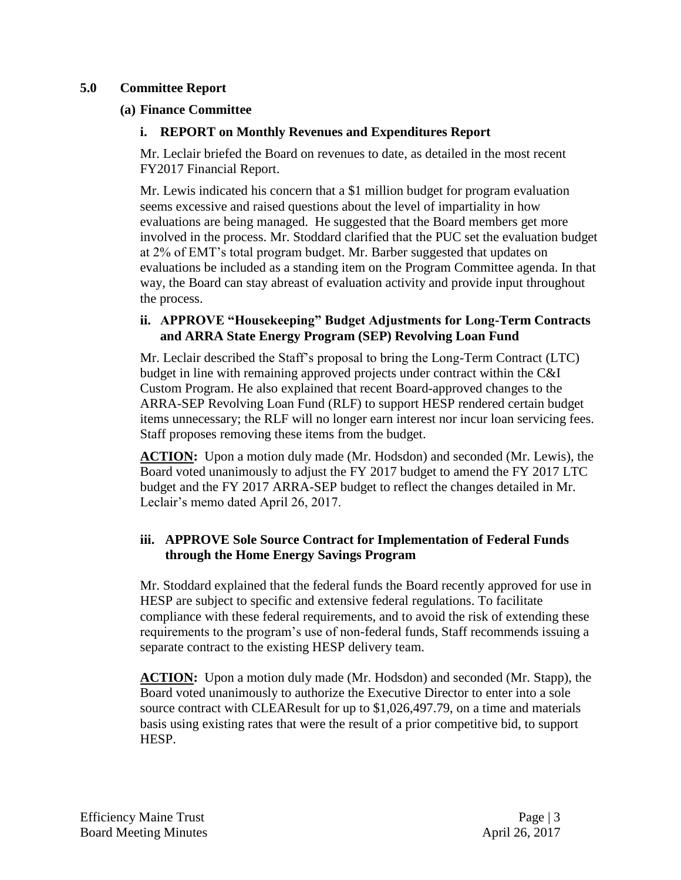### **5.0 Committee Report**

### **(a) Finance Committee**

## **i. REPORT on Monthly Revenues and Expenditures Report**

Mr. Leclair briefed the Board on revenues to date, as detailed in the most recent FY2017 Financial Report.

Mr. Lewis indicated his concern that a \$1 million budget for program evaluation seems excessive and raised questions about the level of impartiality in how evaluations are being managed. He suggested that the Board members get more involved in the process. Mr. Stoddard clarified that the PUC set the evaluation budget at 2% of EMT's total program budget. Mr. Barber suggested that updates on evaluations be included as a standing item on the Program Committee agenda. In that way, the Board can stay abreast of evaluation activity and provide input throughout the process.

### **ii. APPROVE "Housekeeping" Budget Adjustments for Long-Term Contracts and ARRA State Energy Program (SEP) Revolving Loan Fund**

Mr. Leclair described the Staff's proposal to bring the Long-Term Contract (LTC) budget in line with remaining approved projects under contract within the C&I Custom Program. He also explained that recent Board-approved changes to the ARRA-SEP Revolving Loan Fund (RLF) to support HESP rendered certain budget items unnecessary; the RLF will no longer earn interest nor incur loan servicing fees. Staff proposes removing these items from the budget.

**ACTION:** Upon a motion duly made (Mr. Hodsdon) and seconded (Mr. Lewis), the Board voted unanimously to adjust the FY 2017 budget to amend the FY 2017 LTC budget and the FY 2017 ARRA-SEP budget to reflect the changes detailed in Mr. Leclair's memo dated April 26, 2017.

## **iii. APPROVE Sole Source Contract for Implementation of Federal Funds through the Home Energy Savings Program**

Mr. Stoddard explained that the federal funds the Board recently approved for use in HESP are subject to specific and extensive federal regulations. To facilitate compliance with these federal requirements, and to avoid the risk of extending these requirements to the program's use of non-federal funds, Staff recommends issuing a separate contract to the existing HESP delivery team.

**ACTION:** Upon a motion duly made (Mr. Hodsdon) and seconded (Mr. Stapp), the Board voted unanimously to authorize the Executive Director to enter into a sole source contract with CLEAResult for up to \$1,026,497.79, on a time and materials basis using existing rates that were the result of a prior competitive bid, to support HESP.